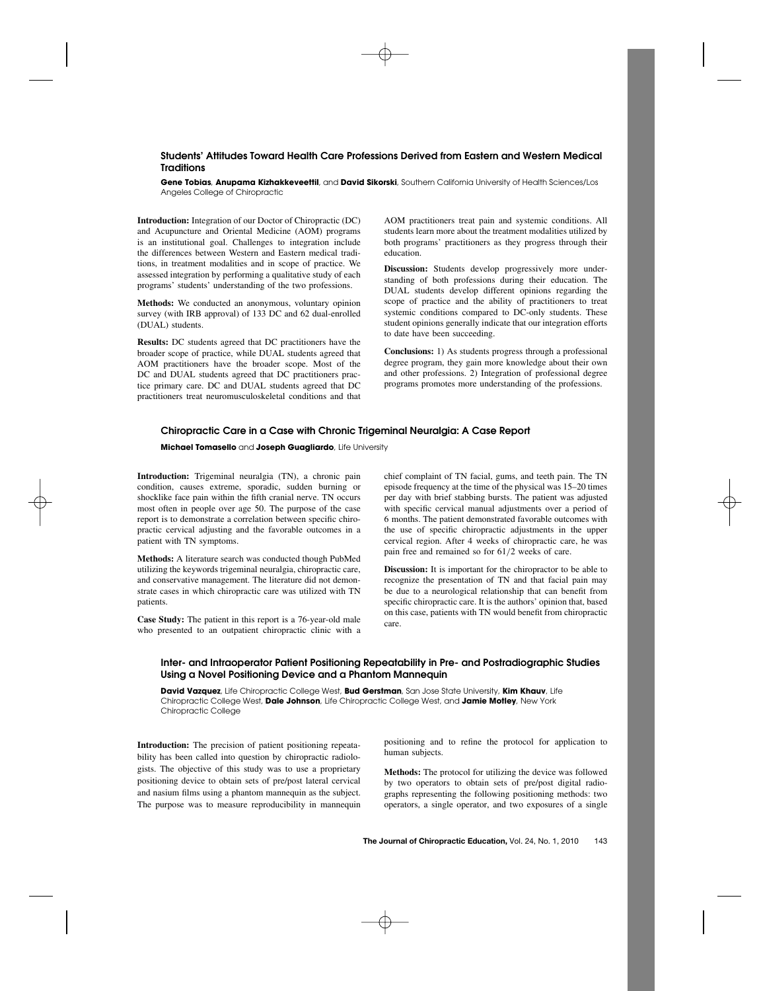# **Students' Attitudes Toward Health Care Professions Derived from Eastern and Western Medical Traditions**

**Gene Tobias**, **Anupama Kizhakkeveettil**, and **David Sikorski**, Southern California University of Health Sciences/Los Angeles College of Chiropractic

**Introduction:** Integration of our Doctor of Chiropractic (DC) and Acupuncture and Oriental Medicine (AOM) programs is an institutional goal. Challenges to integration include the differences between Western and Eastern medical traditions, in treatment modalities and in scope of practice. We assessed integration by performing a qualitative study of each programs' students' understanding of the two professions.

**Methods:** We conducted an anonymous, voluntary opinion survey (with IRB approval) of 133 DC and 62 dual-enrolled (DUAL) students.

**Results:** DC students agreed that DC practitioners have the broader scope of practice, while DUAL students agreed that AOM practitioners have the broader scope. Most of the DC and DUAL students agreed that DC practitioners practice primary care. DC and DUAL students agreed that DC practitioners treat neuromusculoskeletal conditions and that

AOM practitioners treat pain and systemic conditions. All students learn more about the treatment modalities utilized by both programs' practitioners as they progress through their education.

**Discussion:** Students develop progressively more understanding of both professions during their education. The DUAL students develop different opinions regarding the scope of practice and the ability of practitioners to treat systemic conditions compared to DC-only students. These student opinions generally indicate that our integration efforts to date have been succeeding.

**Conclusions:** 1) As students progress through a professional degree program, they gain more knowledge about their own and other professions. 2) Integration of professional degree programs promotes more understanding of the professions.

### **Chiropractic Care in a Case with Chronic Trigeminal Neuralgia: A Case Report**

#### **Michael Tomasello** and **Joseph Guagliardo**, Life University

**Introduction:** Trigeminal neuralgia (TN), a chronic pain condition, causes extreme, sporadic, sudden burning or shocklike face pain within the fifth cranial nerve. TN occurs most often in people over age 50. The purpose of the case report is to demonstrate a correlation between specific chiropractic cervical adjusting and the favorable outcomes in a patient with TN symptoms.

**Methods:** A literature search was conducted though PubMed utilizing the keywords trigeminal neuralgia, chiropractic care, and conservative management. The literature did not demonstrate cases in which chiropractic care was utilized with TN patients.

**Case Study:** The patient in this report is a 76-year-old male who presented to an outpatient chiropractic clinic with a

chief complaint of TN facial, gums, and teeth pain. The TN episode frequency at the time of the physical was 15–20 times per day with brief stabbing bursts. The patient was adjusted with specific cervical manual adjustments over a period of 6 months. The patient demonstrated favorable outcomes with the use of specific chiropractic adjustments in the upper cervical region. After 4 weeks of chiropractic care, he was pain free and remained so for 61/2 weeks of care.

**Discussion:** It is important for the chiropractor to be able to recognize the presentation of TN and that facial pain may be due to a neurological relationship that can benefit from specific chiropractic care. It is the authors' opinion that, based on this case, patients with TN would benefit from chiropractic care.

# **Inter- and Intraoperator Patient Positioning Repeatability in Pre- and Postradiographic Studies Using a Novel Positioning Device and a Phantom Mannequin**

**David Vazquez**, Life Chiropractic College West, **Bud Gerstman**, San Jose State University, **Kim Khauv**, Life Chiropractic College West, **Dale Johnson**, Life Chiropractic College West, and **Jamie Motley**, New York Chiropractic College

**Introduction:** The precision of patient positioning repeatability has been called into question by chiropractic radiologists. The objective of this study was to use a proprietary positioning device to obtain sets of pre/post lateral cervical and nasium films using a phantom mannequin as the subject. The purpose was to measure reproducibility in mannequin

positioning and to refine the protocol for application to human subjects.

**Methods:** The protocol for utilizing the device was followed by two operators to obtain sets of pre/post digital radiographs representing the following positioning methods: two operators, a single operator, and two exposures of a single